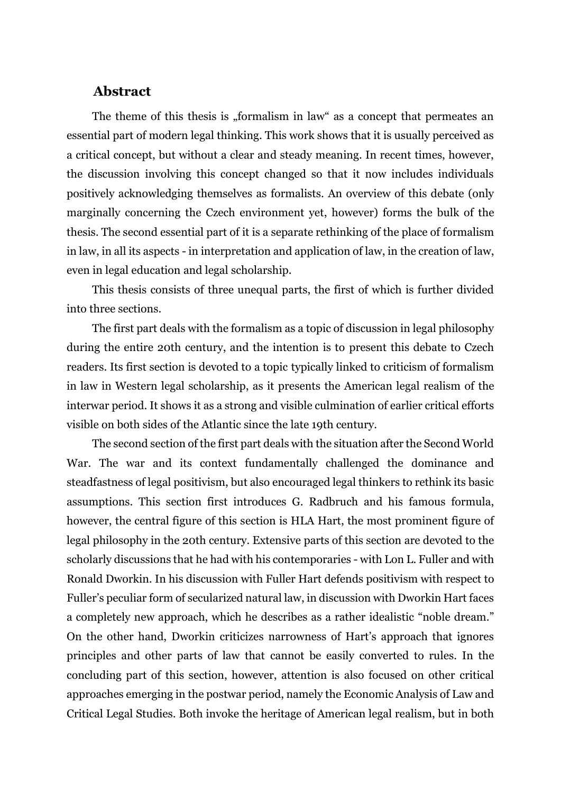## **Abstract**

The theme of this thesis is "formalism in law" as a concept that permeates an essential part of modern legal thinking. This work shows that it is usually perceived as a critical concept, but without a clear and steady meaning. In recent times, however, the discussion involving this concept changed so that it now includes individuals positively acknowledging themselves as formalists. An overview of this debate (only marginally concerning the Czech environment yet, however) forms the bulk of the thesis. The second essential part of it is a separate rethinking of the place of formalism in law, in all its aspects - in interpretation and application of law, in the creation of law, even in legal education and legal scholarship.

This thesis consists of three unequal parts, the first of which is further divided into three sections.

The first part deals with the formalism as a topic of discussion in legal philosophy during the entire 20th century, and the intention is to present this debate to Czech readers. Its first section is devoted to a topic typically linked to criticism of formalism in law in Western legal scholarship, as it presents the American legal realism of the interwar period. It shows it as a strong and visible culmination of earlier critical efforts visible on both sides of the Atlantic since the late 19th century.

The second section of the first part deals with the situation after the Second World War. The war and its context fundamentally challenged the dominance and steadfastness of legal positivism, but also encouraged legal thinkers to rethink its basic assumptions. This section first introduces G. Radbruch and his famous formula, however, the central figure of this section is HLA Hart, the most prominent figure of legal philosophy in the 20th century. Extensive parts of this section are devoted to the scholarly discussions that he had with his contemporaries - with Lon L. Fuller and with Ronald Dworkin. In his discussion with Fuller Hart defends positivism with respect to Fuller's peculiar form of secularized natural law, in discussion with Dworkin Hart faces a completely new approach, which he describes as a rather idealistic "noble dream." On the other hand, Dworkin criticizes narrowness of Hart's approach that ignores principles and other parts of law that cannot be easily converted to rules. In the concluding part of this section, however, attention is also focused on other critical approaches emerging in the postwar period, namely the Economic Analysis of Law and Critical Legal Studies. Both invoke the heritage of American legal realism, but in both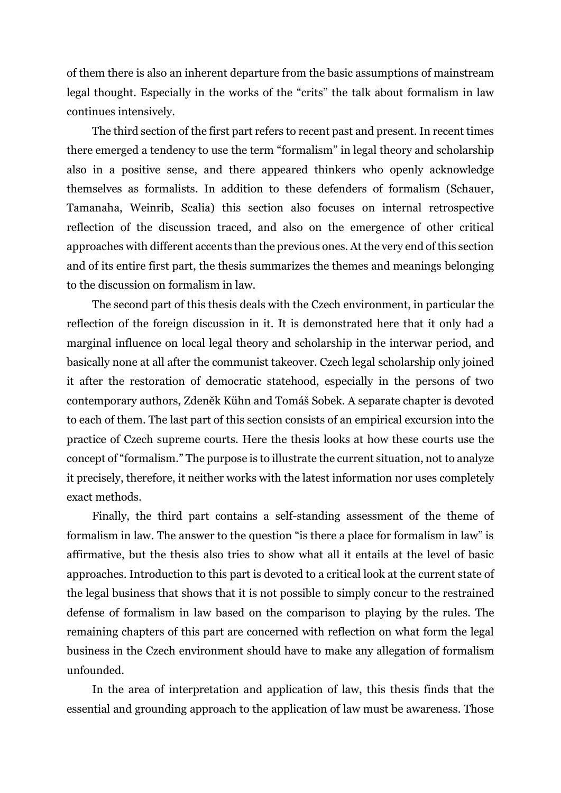of them there is also an inherent departure from the basic assumptions of mainstream legal thought. Especially in the works of the "crits" the talk about formalism in law continues intensively.

The third section of the first part refers to recent past and present. In recent times there emerged a tendency to use the term "formalism" in legal theory and scholarship also in a positive sense, and there appeared thinkers who openly acknowledge themselves as formalists. In addition to these defenders of formalism (Schauer, Tamanaha, Weinrib, Scalia) this section also focuses on internal retrospective reflection of the discussion traced, and also on the emergence of other critical approaches with different accents than the previous ones. At the very end of this section and of its entire first part, the thesis summarizes the themes and meanings belonging to the discussion on formalism in law.

The second part of this thesis deals with the Czech environment, in particular the reflection of the foreign discussion in it. It is demonstrated here that it only had a marginal influence on local legal theory and scholarship in the interwar period, and basically none at all after the communist takeover. Czech legal scholarship only joined it after the restoration of democratic statehood, especially in the persons of two contemporary authors, Zdeněk Kühn and Tomáš Sobek. A separate chapter is devoted to each of them. The last part of this section consists of an empirical excursion into the practice of Czech supreme courts. Here the thesis looks at how these courts use the concept of "formalism." The purpose is to illustrate the current situation, not to analyze it precisely, therefore, it neither works with the latest information nor uses completely exact methods.

Finally, the third part contains a self-standing assessment of the theme of formalism in law. The answer to the question "is there a place for formalism in law" is affirmative, but the thesis also tries to show what all it entails at the level of basic approaches. Introduction to this part is devoted to a critical look at the current state of the legal business that shows that it is not possible to simply concur to the restrained defense of formalism in law based on the comparison to playing by the rules. The remaining chapters of this part are concerned with reflection on what form the legal business in the Czech environment should have to make any allegation of formalism unfounded.

In the area of interpretation and application of law, this thesis finds that the essential and grounding approach to the application of law must be awareness. Those